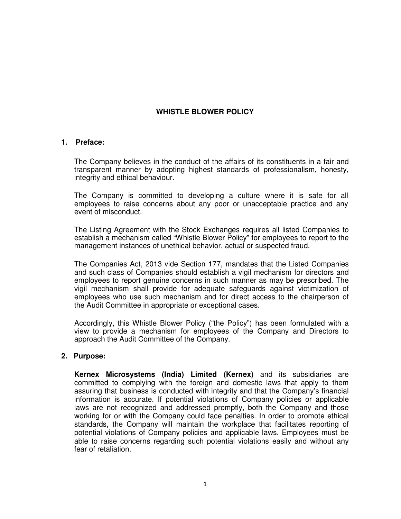# **WHISTLE BLOWER POLICY**

#### **1. Preface:**

The Company believes in the conduct of the affairs of its constituents in a fair and transparent manner by adopting highest standards of professionalism, honesty, integrity and ethical behaviour.

The Company is committed to developing a culture where it is safe for all employees to raise concerns about any poor or unacceptable practice and any event of misconduct.

The Listing Agreement with the Stock Exchanges requires all listed Companies to establish a mechanism called "Whistle Blower Policy" for employees to report to the management instances of unethical behavior, actual or suspected fraud.

The Companies Act, 2013 vide Section 177, mandates that the Listed Companies and such class of Companies should establish a vigil mechanism for directors and employees to report genuine concerns in such manner as may be prescribed. The vigil mechanism shall provide for adequate safeguards against victimization of employees who use such mechanism and for direct access to the chairperson of the Audit Committee in appropriate or exceptional cases.

Accordingly, this Whistle Blower Policy ("the Policy") has been formulated with a view to provide a mechanism for employees of the Company and Directors to approach the Audit Committee of the Company.

## **2. Purpose:**

**Kernex Microsystems (India) Limited (Kernex)** and its subsidiaries are committed to complying with the foreign and domestic laws that apply to them assuring that business is conducted with integrity and that the Company's financial information is accurate. If potential violations of Company policies or applicable laws are not recognized and addressed promptly, both the Company and those working for or with the Company could face penalties. In order to promote ethical standards, the Company will maintain the workplace that facilitates reporting of potential violations of Company policies and applicable laws. Employees must be able to raise concerns regarding such potential violations easily and without any fear of retaliation.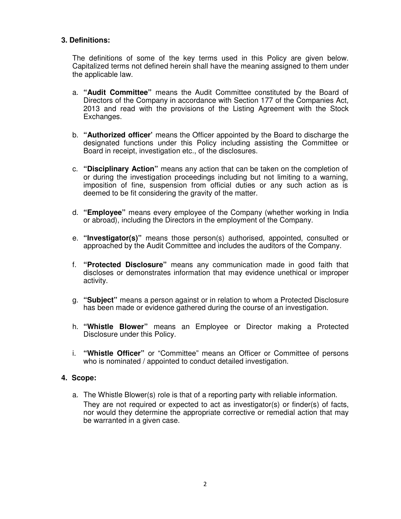# **3. Definitions:**

The definitions of some of the key terms used in this Policy are given below. Capitalized terms not defined herein shall have the meaning assigned to them under the applicable law.

- a. **"Audit Committee"** means the Audit Committee constituted by the Board of Directors of the Company in accordance with Section 177 of the Companies Act, 2013 and read with the provisions of the Listing Agreement with the Stock Exchanges.
- b. **"Authorized officer'** means the Officer appointed by the Board to discharge the designated functions under this Policy including assisting the Committee or Board in receipt, investigation etc., of the disclosures.
- c. **"Disciplinary Action"** means any action that can be taken on the completion of or during the investigation proceedings including but not limiting to a warning, imposition of fine, suspension from official duties or any such action as is deemed to be fit considering the gravity of the matter.
- d. **"Employee"** means every employee of the Company (whether working in India or abroad), including the Directors in the employment of the Company.
- e. **"Investigator(s)"** means those person(s) authorised, appointed, consulted or approached by the Audit Committee and includes the auditors of the Company.
- f. **"Protected Disclosure"** means any communication made in good faith that discloses or demonstrates information that may evidence unethical or improper activity.
- g. **"Subject"** means a person against or in relation to whom a Protected Disclosure has been made or evidence gathered during the course of an investigation.
- h. **"Whistle Blower"** means an Employee or Director making a Protected Disclosure under this Policy.
- i. **"Whistle Officer"** or "Committee" means an Officer or Committee of persons who is nominated / appointed to conduct detailed investigation.

## **4. Scope:**

a. The Whistle Blower(s) role is that of a reporting party with reliable information. They are not required or expected to act as investigator(s) or finder(s) of facts, nor would they determine the appropriate corrective or remedial action that may be warranted in a given case.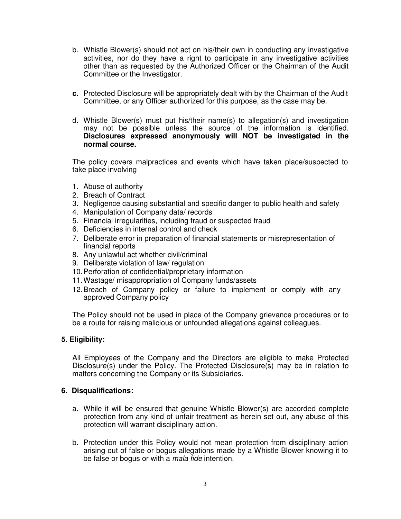- b. Whistle Blower(s) should not act on his/their own in conducting any investigative activities, nor do they have a right to participate in any investigative activities other than as requested by the Authorized Officer or the Chairman of the Audit Committee or the Investigator.
- **c.** Protected Disclosure will be appropriately dealt with by the Chairman of the Audit Committee, or any Officer authorized for this purpose, as the case may be.
- d. Whistle Blower(s) must put his/their name(s) to allegation(s) and investigation may not be possible unless the source of the information is identified. **Disclosures expressed anonymously will NOT be investigated in the normal course.**

The policy covers malpractices and events which have taken place/suspected to take place involving

- 1. Abuse of authority
- 2. Breach of Contract
- 3. Negligence causing substantial and specific danger to public health and safety
- 4. Manipulation of Company data/ records
- 5. Financial irregularities, including fraud or suspected fraud
- 6. Deficiencies in internal control and check
- 7. Deliberate error in preparation of financial statements or misrepresentation of financial reports
- 8. Any unlawful act whether civil/criminal
- 9. Deliberate violation of law/ regulation
- 10. Perforation of confidential/proprietary information
- 11. Wastage/ misappropriation of Company funds/assets
- 12. Breach of Company policy or failure to implement or comply with any approved Company policy

The Policy should not be used in place of the Company grievance procedures or to be a route for raising malicious or unfounded allegations against colleagues.

## **5. Eligibility:**

All Employees of the Company and the Directors are eligible to make Protected Disclosure(s) under the Policy. The Protected Disclosure(s) may be in relation to matters concerning the Company or its Subsidiaries.

#### **6. Disqualifications:**

- a. While it will be ensured that genuine Whistle Blower(s) are accorded complete protection from any kind of unfair treatment as herein set out, any abuse of this protection will warrant disciplinary action.
- b. Protection under this Policy would not mean protection from disciplinary action arising out of false or bogus allegations made by a Whistle Blower knowing it to be false or bogus or with a mala fide intention.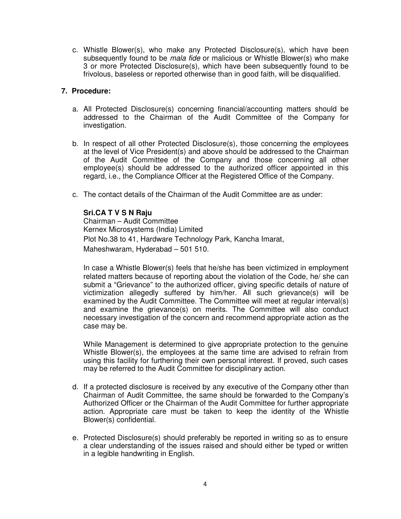c. Whistle Blower(s), who make any Protected Disclosure(s), which have been subsequently found to be *mala fide* or malicious or Whistle Blower(s) who make 3 or more Protected Disclosure(s), which have been subsequently found to be frivolous, baseless or reported otherwise than in good faith, will be disqualified.

## **7. Procedure:**

- a. All Protected Disclosure(s) concerning financial/accounting matters should be addressed to the Chairman of the Audit Committee of the Company for investigation.
- b. In respect of all other Protected Disclosure(s), those concerning the employees at the level of Vice President(s) and above should be addressed to the Chairman of the Audit Committee of the Company and those concerning all other employee(s) should be addressed to the authorized officer appointed in this regard, i.e., the Compliance Officer at the Registered Office of the Company.
- c. The contact details of the Chairman of the Audit Committee are as under:

# **Sri.CA T V S N Raju**

Chairman – Audit Committee Kernex Microsystems (India) Limited Plot No.38 to 41, Hardware Technology Park, Kancha Imarat, Maheshwaram, Hyderabad – 501 510.

In case a Whistle Blower(s) feels that he/she has been victimized in employment related matters because of reporting about the violation of the Code, he/ she can submit a "Grievance" to the authorized officer, giving specific details of nature of victimization allegedly suffered by him/her. All such grievance(s) will be examined by the Audit Committee. The Committee will meet at regular interval(s) and examine the grievance(s) on merits. The Committee will also conduct necessary investigation of the concern and recommend appropriate action as the case may be.

While Management is determined to give appropriate protection to the genuine Whistle Blower(s), the employees at the same time are advised to refrain from using this facility for furthering their own personal interest. If proved, such cases may be referred to the Audit Committee for disciplinary action.

- d. If a protected disclosure is received by any executive of the Company other than Chairman of Audit Committee, the same should be forwarded to the Company's Authorized Officer or the Chairman of the Audit Committee for further appropriate action. Appropriate care must be taken to keep the identity of the Whistle Blower(s) confidential.
- e. Protected Disclosure(s) should preferably be reported in writing so as to ensure a clear understanding of the issues raised and should either be typed or written in a legible handwriting in English.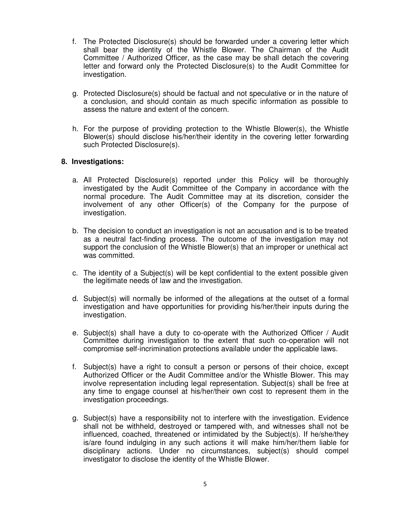- f. The Protected Disclosure(s) should be forwarded under a covering letter which shall bear the identity of the Whistle Blower. The Chairman of the Audit Committee / Authorized Officer, as the case may be shall detach the covering letter and forward only the Protected Disclosure(s) to the Audit Committee for investigation.
- g. Protected Disclosure(s) should be factual and not speculative or in the nature of a conclusion, and should contain as much specific information as possible to assess the nature and extent of the concern.
- h. For the purpose of providing protection to the Whistle Blower(s), the Whistle Blower(s) should disclose his/her/their identity in the covering letter forwarding such Protected Disclosure(s).

## **8. Investigations:**

- a. All Protected Disclosure(s) reported under this Policy will be thoroughly investigated by the Audit Committee of the Company in accordance with the normal procedure. The Audit Committee may at its discretion, consider the involvement of any other Officer(s) of the Company for the purpose of investigation.
- b. The decision to conduct an investigation is not an accusation and is to be treated as a neutral fact-finding process. The outcome of the investigation may not support the conclusion of the Whistle Blower(s) that an improper or unethical act was committed.
- c. The identity of a Subject(s) will be kept confidential to the extent possible given the legitimate needs of law and the investigation.
- d. Subject(s) will normally be informed of the allegations at the outset of a formal investigation and have opportunities for providing his/her/their inputs during the investigation.
- e. Subject(s) shall have a duty to co-operate with the Authorized Officer / Audit Committee during investigation to the extent that such co-operation will not compromise self-incrimination protections available under the applicable laws.
- f. Subject(s) have a right to consult a person or persons of their choice, except Authorized Officer or the Audit Committee and/or the Whistle Blower. This may involve representation including legal representation. Subject(s) shall be free at any time to engage counsel at his/her/their own cost to represent them in the investigation proceedings.
- g. Subject(s) have a responsibility not to interfere with the investigation. Evidence shall not be withheld, destroyed or tampered with, and witnesses shall not be influenced, coached, threatened or intimidated by the Subject(s). If he/she/they is/are found indulging in any such actions it will make him/her/them liable for disciplinary actions. Under no circumstances, subject(s) should compel investigator to disclose the identity of the Whistle Blower.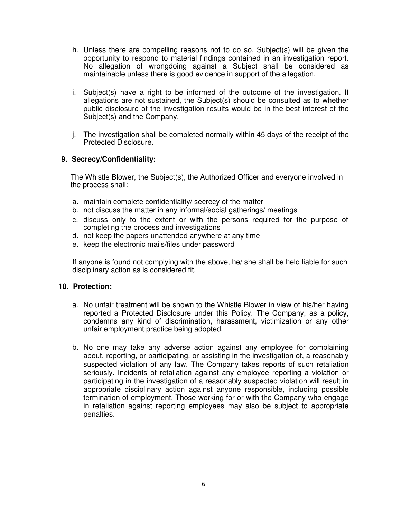- h. Unless there are compelling reasons not to do so, Subject(s) will be given the opportunity to respond to material findings contained in an investigation report. No allegation of wrongdoing against a Subject shall be considered as maintainable unless there is good evidence in support of the allegation.
- i. Subject(s) have a right to be informed of the outcome of the investigation. If allegations are not sustained, the Subject(s) should be consulted as to whether public disclosure of the investigation results would be in the best interest of the Subject(s) and the Company.
- j. The investigation shall be completed normally within 45 days of the receipt of the Protected Disclosure.

#### **9. Secrecy/Confidentiality:**

The Whistle Blower, the Subject(s), the Authorized Officer and everyone involved in the process shall:

- a. maintain complete confidentiality/ secrecy of the matter
- b. not discuss the matter in any informal/social gatherings/ meetings
- c. discuss only to the extent or with the persons required for the purpose of completing the process and investigations
- d. not keep the papers unattended anywhere at any time
- e. keep the electronic mails/files under password

If anyone is found not complying with the above, he/ she shall be held liable for such disciplinary action as is considered fit.

#### **10. Protection:**

- a. No unfair treatment will be shown to the Whistle Blower in view of his/her having reported a Protected Disclosure under this Policy. The Company, as a policy, condemns any kind of discrimination, harassment, victimization or any other unfair employment practice being adopted.
- b. No one may take any adverse action against any employee for complaining about, reporting, or participating, or assisting in the investigation of, a reasonably suspected violation of any law. The Company takes reports of such retaliation seriously. Incidents of retaliation against any employee reporting a violation or participating in the investigation of a reasonably suspected violation will result in appropriate disciplinary action against anyone responsible, including possible termination of employment. Those working for or with the Company who engage in retaliation against reporting employees may also be subject to appropriate penalties.